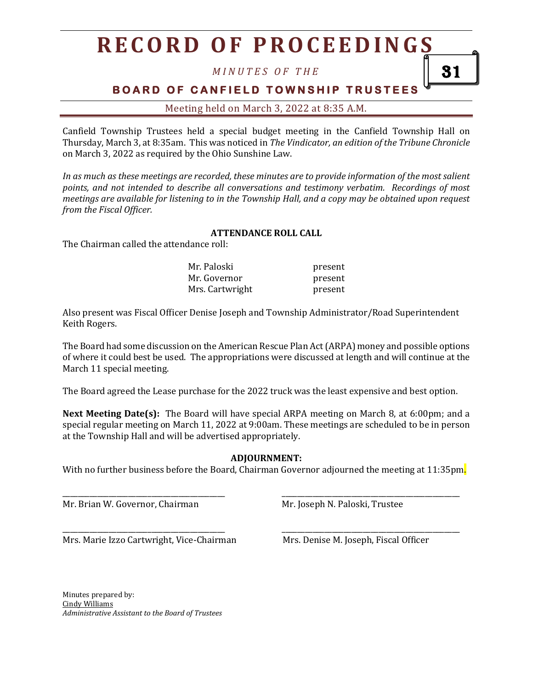## **R E C O R D O F P R O C E E D I N G S**

*M I N U T E S O F T H E*

**BOARD OF CANFIELD TOWNSHIP TRUSTEES** 

Meeting held on March 3, 2022 at 8:35 A.M.

Canfield Township Trustees held a special budget meeting in the Canfield Township Hall on Thursday, March 3, at 8:35am. This was noticed in *The Vindicator, an edition of the Tribune Chronicle* on March 3, 2022 as required by the Ohio Sunshine Law.

*In as much as these meetings are recorded, these minutes are to provide information of the most salient points, and not intended to describe all conversations and testimony verbatim. Recordings of most meetings are available for listening to in the Township Hall, and a copy may be obtained upon request from the Fiscal Officer.*

## **ATTENDANCE ROLL CALL**

The Chairman called the attendance roll:

| Mr. Paloski     | present |
|-----------------|---------|
| Mr. Governor    | present |
| Mrs. Cartwright | present |

Also present was Fiscal Officer Denise Joseph and Township Administrator/Road Superintendent Keith Rogers.

The Board had some discussion on the American Rescue Plan Act(ARPA) money and possible options of where it could best be used. The appropriations were discussed at length and will continue at the March 11 special meeting.

The Board agreed the Lease purchase for the 2022 truck was the least expensive and best option.

**Next Meeting Date(s):** The Board will have special ARPA meeting on March 8, at 6:00pm; and a special regular meeting on March 11, 2022 at 9:00am. These meetings are scheduled to be in person at the Township Hall and will be advertised appropriately.

## **ADJOURNMENT:**

With no further business before the Board, Chairman Governor adjourned the meeting at 11:35pm.

\_\_\_\_\_\_\_\_\_\_\_\_\_\_\_\_\_\_\_\_\_\_\_\_\_\_\_\_\_\_\_\_\_\_\_\_\_\_\_\_\_\_ \_\_\_\_\_\_\_\_\_\_\_\_\_\_\_\_\_\_\_\_\_\_\_\_\_\_\_\_\_\_\_\_\_\_\_\_\_\_\_\_\_\_\_\_\_\_

\_\_\_\_\_\_\_\_\_\_\_\_\_\_\_\_\_\_\_\_\_\_\_\_\_\_\_\_\_\_\_\_\_\_\_\_\_\_\_\_\_\_ \_\_\_\_\_\_\_\_\_\_\_\_\_\_\_\_\_\_\_\_\_\_\_\_\_\_\_\_\_\_\_\_\_\_\_\_\_\_\_\_\_\_\_\_\_\_

Mr. Brian W. Governor, Chairman Mr. Joseph N. Paloski, Trustee

Mrs. Marie Izzo Cartwright, Vice-Chairman Mrs. Denise M. Joseph, Fiscal Officer

Minutes prepared by: Cindy Williams *Administrative Assistant to the Board of Trustees* 31